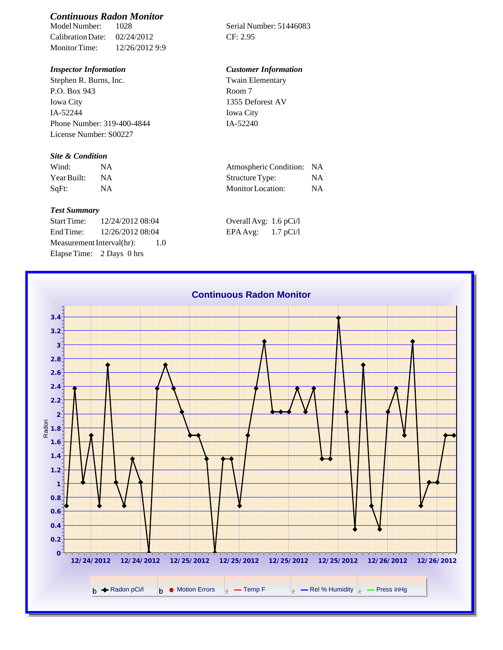# *Continuous Radon Monitor*

Calibration Date: 02/24/2012 CF: 2.95 Monitor Time: 12/26/2012 9:9

Stephen R. Burns, Inc. P.O. Box 943 Iowa City IA-52244 Phone Number: 319-400-4844 License Number: S00227

### *Site & Condition*

| Wind:       | <b>NA</b> |
|-------------|-----------|
| Year Built: | NА        |
| SqFt:       | NA        |

#### *Test Summary*

Start Time: 12/24/2012 08:04 End Time:  $12/26/201208:04$ Measurement Interval(hr): 1.0 Elapse Time: 2 Days 0 hrs

Serial Number: 51446083

### *Inspector Information Customer Information*

Twain Elementary Room 7 1355 Deforest AV Iowa City IA-52240

| Wind:       | Atmospheric Condition: NA |    |
|-------------|---------------------------|----|
| Year Built: | Structure Type:           | NA |
| SaFt:       | Monitor Location:         | ΝA |

| Overall Avg: 1.6 pCi/l |             |
|------------------------|-------------|
| EPA Avg:               | $1.7$ pCi/l |

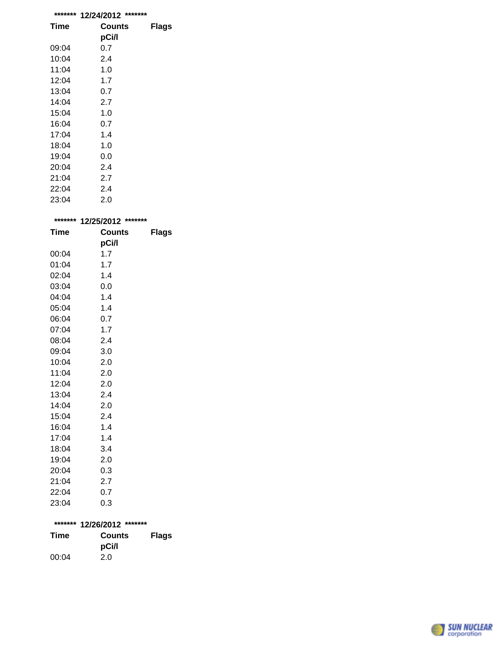| *******     | *******<br>12/24/2012 |              |
|-------------|-----------------------|--------------|
| Time        | <b>Counts</b>         | <b>Flags</b> |
|             | pCi/l                 |              |
| 09:04       | 0.7                   |              |
| 10:04       | 2.4                   |              |
| 11:04       | 1.0                   |              |
| 12:04       | 1.7                   |              |
| 13:04       | 0.7                   |              |
| 14:04       | 2.7                   |              |
| 15:04       | 1.0                   |              |
| 16:04       | 0.7                   |              |
| 17:04       | 1.4                   |              |
| 18:04       | 1.0                   |              |
| 19:04       | 0.0                   |              |
| 20:04       | 2.4                   |              |
| 21:04       | 2.7                   |              |
| 22:04       | 2.4                   |              |
| 23:04       | 2.0                   |              |
|             |                       |              |
| *******     | *******<br>12/25/2012 |              |
| <b>Time</b> | <b>Counts</b>         | <b>Flags</b> |
|             | pCi/l                 |              |
| 00:04       | 1.7                   |              |
| 01:04       | 1.7                   |              |

| 01:04 | 1.7 |
|-------|-----|
| 02:04 | 1.4 |
| 03:04 | 0.0 |
| 04:04 | 1.4 |
| 05:04 | 1.4 |
| 06:04 | 0.7 |
| 07:04 | 1.7 |
| 08:04 | 2.4 |
| 09:04 | 3.0 |
| 10:04 | 2.0 |
| 11:04 | 2.0 |
| 12:04 | 2.0 |
| 13:04 | 2.4 |
| 14:04 | 2.0 |
| 15:04 | 2.4 |
| 16:04 | 1.4 |
| 17:04 | 1.4 |
| 18:04 | 3.4 |
| 19:04 | 2.0 |
| 20:04 | 0.3 |
| 21:04 | 2.7 |
| 22:04 | 0.7 |
| 23:04 | 0.3 |
|       |     |

## **\*\*\*\*\*\*\* 12/26/2012 \*\*\*\*\*\*\***

| Time  | Counts<br>pCi/l | <b>Flags</b> |
|-------|-----------------|--------------|
| 00:04 | 2.0             |              |